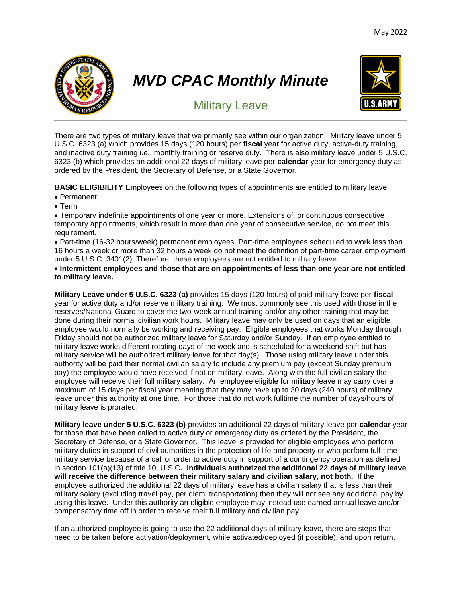

# *MVD CPAC Monthly Minute*



# Military Leave

There are two types of military leave that we primarily see within our organization. Military leave under 5 U.S.C. 6323 (a) which provides 15 days (120 hours) per **fiscal** year for active duty, active-duty training, and inactive duty training i.e., monthly training or reserve duty. There is also military leave under 5 U.S.C. 6323 (b) which provides an additional 22 days of military leave per **calendar** year for emergency duty as ordered by the President, the Secretary of Defense, or a State Governor.

**BASIC ELIGIBILITY** Employees on the following types of appointments are entitled to military leave.

- Permanent
- Term

• Temporary indefinite appointments of one year or more. Extensions of, or continuous consecutive temporary appointments, which result in more than one year of consecutive service, do not meet this requirement.

• Part-time (16-32 hours/week) permanent employees. Part-time employees scheduled to work less than 16 hours a week or more than 32 hours a week do not meet the definition of part-time career employment under 5 U.S.C. 3401(2). Therefore, these employees are not entitled to military leave.

## • **Intermittent employees and those that are on appointments of less than one year are not entitled to military leave.**

**Military Leave under 5 U.S.C. 6323 (a)** provides 15 days (120 hours) of paid military leave per **fiscal** year for active duty and/or reserve military training. We most commonly see this used with those in the reserves/National Guard to cover the two-week annual training and/or any other training that may be done during their normal civilian work hours. Military leave may only be used on days that an eligible employee would normally be working and receiving pay. Eligible employees that works Monday through Friday should not be authorized military leave for Saturday and/or Sunday. If an employee entitled to military leave works different rotating days of the week and is scheduled for a weekend shift but has military service will be authorized military leave for that day(s). Those using military leave under this authority will be paid their normal civilian salary to include any premium pay (except Sunday premium pay) the employee would have received if not on military leave. Along with the full civilian salary the employee will receive their full military salary. An employee eligible for military leave may carry over a maximum of 15 days per fiscal year meaning that they may have up to 30 days (240 hours) of military leave under this authority at one time. For those that do not work fulltime the number of days/hours of military leave is prorated.

**Military leave under 5 U.S.C. 6323 (b)** provides an additional 22 days of military leave per **calendar** year for those that have been called to active duty or emergency duty as ordered by the President, the Secretary of Defense, or a State Governor. This leave is provided for eligible employees who perform military duties in support of civil authorities in the protection of life and property or who perform full-time military service because of a call or order to active duty in support of a contingency operation as defined in section 101(a)(13) of title 10, U.S.C**. Individuals authorized the additional 22 days of military leave will receive the difference between their military salary and civilian salary, not both.** If the employee authorized the additional 22 days of military leave has a civilian salary that is less than their military salary (excluding travel pay, per diem, transportation) then they will not see any additional pay by using this leave. Under this authority an eligible employee may instead use earned annual leave and/or compensatory time off in order to receive their full military and civilian pay.

If an authorized employee is going to use the 22 additional days of military leave, there are steps that need to be taken before activation/deployment, while activated/deployed (if possible), and upon return.